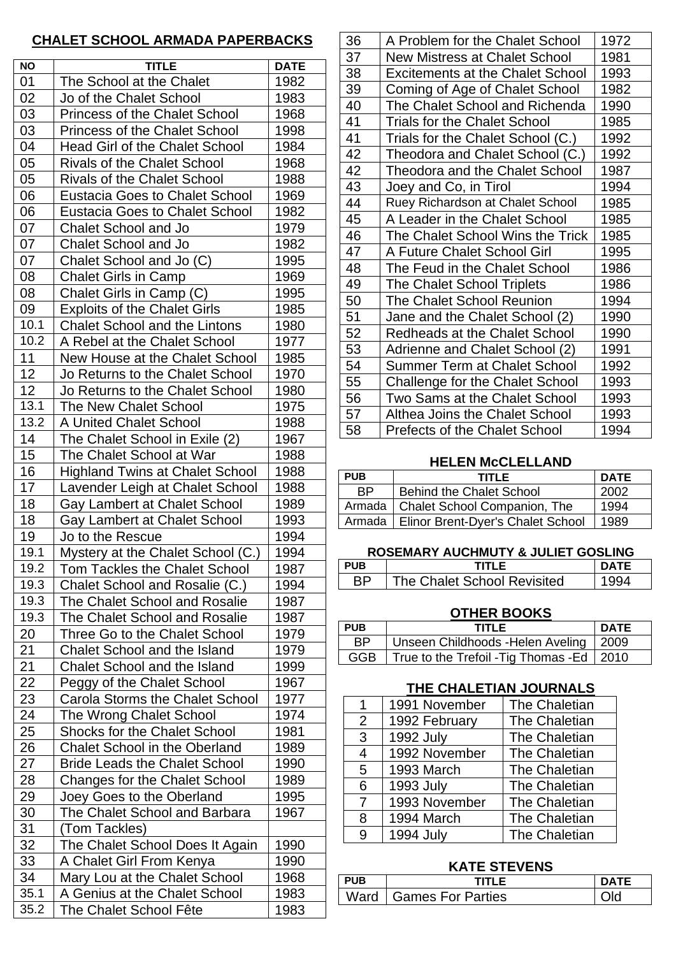# **CHALET SCHOOL ARMADA PAPERBACKS**

| <b>NO</b> | <b>TITLE</b>                           | <b>DATE</b> |  |  |
|-----------|----------------------------------------|-------------|--|--|
| 01        | The School at the Chalet               | 1982        |  |  |
| 02        | Jo of the Chalet School                | 1983        |  |  |
| 03        | <b>Princess of the Chalet School</b>   | 1968        |  |  |
| 03        | <b>Princess of the Chalet School</b>   | 1998        |  |  |
| 04        | <b>Head Girl of the Chalet School</b>  | 1984        |  |  |
| 05        | <b>Rivals of the Chalet School</b>     | 1968        |  |  |
| 05        | <b>Rivals of the Chalet School</b>     | 1988        |  |  |
| 06        | <b>Eustacia Goes to Chalet School</b>  | 1969        |  |  |
| 06        | <b>Eustacia Goes to Chalet School</b>  | 1982        |  |  |
| 07        | <b>Chalet School and Jo</b>            | 1979        |  |  |
| 07        | <b>Chalet School and Jo</b>            | 1982        |  |  |
| 07        | Chalet School and Jo (C)               | 1995        |  |  |
| 08        | <b>Chalet Girls in Camp</b>            | 1969        |  |  |
| 08        | Chalet Girls in Camp (C)               | 1995        |  |  |
| 09        | <b>Exploits of the Chalet Girls</b>    | 1985        |  |  |
| 10.1      | <b>Chalet School and the Lintons</b>   | 1980        |  |  |
| 10.2      | A Rebel at the Chalet School           | 1977        |  |  |
| 11        | New House at the Chalet School         | 1985        |  |  |
| 12        | Jo Returns to the Chalet School        | 1970        |  |  |
| 12        | Jo Returns to the Chalet School        | 1980        |  |  |
| 13.1      | The New Chalet School                  | 1975        |  |  |
| 13.2      | A United Chalet School                 | 1988        |  |  |
| 14        | The Chalet School in Exile (2)         | 1967        |  |  |
| 15        | The Chalet School at War               | 1988        |  |  |
| 16        | <b>Highland Twins at Chalet School</b> | 1988        |  |  |
| 17        | Lavender Leigh at Chalet School        | 1988        |  |  |
| 18        | Gay Lambert at Chalet School           | 1989        |  |  |
| 18        | Gay Lambert at Chalet School           | 1993        |  |  |
| 19        | Jo to the Rescue                       | 1994        |  |  |
| 19.1      | Mystery at the Chalet School (C.)      | 1994        |  |  |
| 19.2      | Tom Tackles the Chalet School          | 1987        |  |  |
| 19.3      | Chalet School and Rosalie (C.)         | 1994        |  |  |
| 19.3      | The Chalet School and Rosalie          | 1987        |  |  |
| 19.3      | The Chalet School and Rosalie          | 1987        |  |  |
| 20        | Three Go to the Chalet School          | 1979        |  |  |
| 21        | Chalet School and the Island           | 1979        |  |  |
| 21        | <b>Chalet School and the Island</b>    | 1999        |  |  |
| 22        | Peggy of the Chalet School             | 1967        |  |  |
| 23        | <b>Carola Storms the Chalet School</b> | 1977        |  |  |
| 24        | The Wrong Chalet School                | 1974        |  |  |
| 25        | <b>Shocks for the Chalet School</b>    | 1981        |  |  |
| 26        | <b>Chalet School in the Oberland</b>   | 1989        |  |  |
| 27        | <b>Bride Leads the Chalet School</b>   | 1990        |  |  |
| 28        | <b>Changes for the Chalet School</b>   | 1989        |  |  |
| 29        | Joey Goes to the Oberland              | 1995        |  |  |
| 30        | The Chalet School and Barbara          | 1967        |  |  |
| 31        | (Tom Tackles)                          |             |  |  |
| 32        | The Chalet School Does It Again        | 1990        |  |  |
| 33        | A Chalet Girl From Kenya               | 1990        |  |  |
| 34        | Mary Lou at the Chalet School          | 1968        |  |  |
| 35.1      | A Genius at the Chalet School          | 1983        |  |  |
| 35.2      | The Chalet School Fête                 | 1983        |  |  |

| 36 | A Problem for the Chalet School         | 1972 |
|----|-----------------------------------------|------|
| 37 | <b>New Mistress at Chalet School</b>    | 1981 |
| 38 | <b>Excitements at the Chalet School</b> | 1993 |
| 39 | Coming of Age of Chalet School          | 1982 |
| 40 | The Chalet School and Richenda          | 1990 |
| 41 | <b>Trials for the Chalet School</b>     | 1985 |
| 41 | Trials for the Chalet School (C.)       | 1992 |
| 42 | Theodora and Chalet School (C.)         | 1992 |
| 42 | Theodora and the Chalet School          | 1987 |
| 43 | Joey and Co, in Tirol                   | 1994 |
| 44 | Ruey Richardson at Chalet School        | 1985 |
| 45 | A Leader in the Chalet School           | 1985 |
| 46 | The Chalet School Wins the Trick        | 1985 |
| 47 | A Future Chalet School Girl             | 1995 |
| 48 | The Feud in the Chalet School           | 1986 |
| 49 | <b>The Chalet School Triplets</b>       | 1986 |
| 50 | <b>The Chalet School Reunion</b>        | 1994 |
| 51 | Jane and the Chalet School (2)          | 1990 |
| 52 | <b>Redheads at the Chalet School</b>    | 1990 |
| 53 | Adrienne and Chalet School (2)          | 1991 |
| 54 | <b>Summer Term at Chalet School</b>     | 1992 |
| 55 | Challenge for the Chalet School         | 1993 |
| 56 | Two Sams at the Chalet School           | 1993 |
| 57 | <b>Althea Joins the Chalet School</b>   | 1993 |
| 58 | <b>Prefects of the Chalet School</b>    | 1994 |
|    |                                         |      |

#### **HELEN McCLELLAND**

| <b>PUB</b> | <b>TITLE</b>                               | <b>DATE</b> |
|------------|--------------------------------------------|-------------|
| <b>BP</b>  | <b>Behind the Chalet School</b>            | 2002        |
|            | Armada   Chalet School Companion, The      | 1994        |
|            | Armada   Elinor Brent-Dyer's Chalet School | 1989        |

#### **ROSEMARY AUCHMUTY & JULIET GOSLING**

| PUR |                             |  |
|-----|-----------------------------|--|
|     | The Chalet School Revisited |  |

### **OTHER BOOKS**

| <b>PUB</b> | <b>TITLE</b>                                 | <b>DATE</b> |
|------------|----------------------------------------------|-------------|
| ВP         | Unseen Childhoods - Helen Aveling   2009     |             |
| <b>GGB</b> | True to the Trefoil - Tig Thomas - Ed   2010 |             |

# **THE CHALETIAN JOURNALS**

| 1              | 1991 November    | <b>The Chaletian</b> |
|----------------|------------------|----------------------|
| $\overline{2}$ | 1992 February    | The Chaletian        |
| 3              | <b>1992 July</b> | <b>The Chaletian</b> |
| 4              | 1992 November    | <b>The Chaletian</b> |
| 5              | 1993 March       | <b>The Chaletian</b> |
| 6              | 1993 July        | <b>The Chaletian</b> |
| 7              | 1993 November    | The Chaletian        |
| 8              | 1994 March       | <b>The Chaletian</b> |
| 9              | <b>1994 July</b> | The Chaletian        |

# **KATE STEVENS**

| . <del>.</del> |                          |  |  |  |
|----------------|--------------------------|--|--|--|
| <b>PUB</b>     |                          |  |  |  |
|                | Ward   Games For Parties |  |  |  |
|                |                          |  |  |  |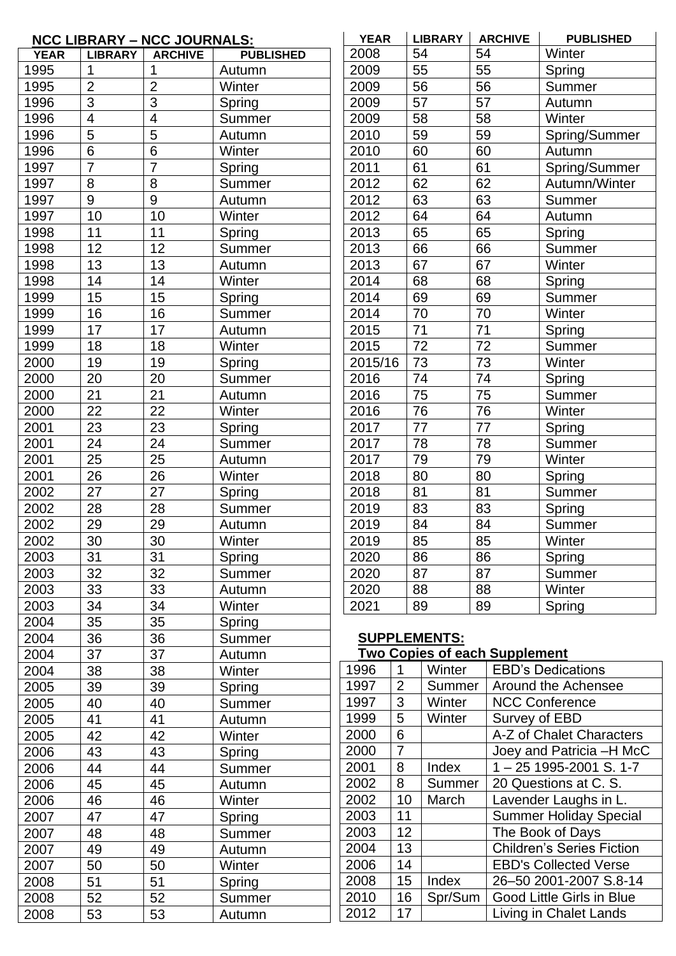|             |                         | <b>NCC LIBRARY - NCC JOURNALS:</b> |                  | <b>YEAR</b> |                | <b>LIBRARY</b>      | <b>ARCHIVE</b>                       | <b>PUBLISHED</b>                 |
|-------------|-------------------------|------------------------------------|------------------|-------------|----------------|---------------------|--------------------------------------|----------------------------------|
| <b>YEAR</b> | <b>LIBRARY</b>          | <b>ARCHIVE</b>                     | <b>PUBLISHED</b> | 2008        |                | 54                  | 54                                   | Winter                           |
| 1995        |                         |                                    | Autumn           | 2009        |                | 55                  | 55                                   | Spring                           |
| 1995        | $\overline{2}$          | $\overline{2}$                     | Winter           | 2009        |                | 56                  | 56                                   | Summer                           |
| 1996        | $\overline{3}$          | $\overline{3}$                     | Spring           | 2009        |                | 57                  | 57                                   | Autumn                           |
| 1996        | $\overline{\mathbf{4}}$ | $\overline{4}$                     | Summer           | 2009        |                | 58                  | 58                                   | Winter                           |
| 1996        | 5                       | 5                                  | Autumn           | 2010        |                | 59                  | 59                                   | Spring/Summer                    |
| 1996        | $6\phantom{1}$          | $6\phantom{1}6$                    | Winter           | 2010        |                | 60                  | 60                                   | Autumn                           |
| 1997        | $\overline{7}$          | $\overline{7}$                     | Spring           | 2011        |                | 61                  | 61                                   | Spring/Summer                    |
| 1997        | 8                       | 8                                  | Summer           | 2012        |                | 62                  | 62                                   | Autumn/Winter                    |
| 1997        | 9                       | $9\,$                              | Autumn           | 2012        |                | 63                  | 63                                   | Summer                           |
| 1997        | 10                      | 10                                 | Winter           | 2012        |                | 64                  | 64                                   | Autumn                           |
| 1998        | 11                      | 11                                 | Spring           | 2013        |                | 65                  | 65                                   | Spring                           |
| 1998        | 12                      | 12                                 | Summer           | 2013        |                | 66                  | 66                                   | Summer                           |
| 1998        | 13                      | 13                                 | Autumn           | 2013        |                | 67                  | 67                                   | Winter                           |
| 1998        | 14                      | 14                                 | Winter           | 2014        |                | 68                  | 68                                   | Spring                           |
| 1999        | 15                      | 15                                 | Spring           | 2014        |                | 69                  | 69                                   | Summer                           |
| 1999        | 16                      | 16                                 | Summer           | 2014        |                | 70                  | 70                                   | Winter                           |
| 1999        | 17                      | 17                                 | Autumn           | 2015        |                | 71                  | 71                                   | Spring                           |
| 1999        | 18                      | 18                                 | Winter           | 2015        |                | 72                  | 72                                   | Summer                           |
| 2000        | 19                      | 19                                 | Spring           | 2015/16     |                | 73                  | 73                                   | Winter                           |
| 2000        | 20                      | 20                                 | Summer           | 2016        |                | 74                  | 74                                   | Spring                           |
| 2000        | 21                      | 21                                 | Autumn           | 2016        |                | 75                  | 75                                   | Summer                           |
| 2000        | 22                      | 22                                 | Winter           | 2016        |                | 76                  | 76                                   | Winter                           |
| 2001        | 23                      | 23                                 | Spring           | 2017        |                | 77                  | 77                                   | Spring                           |
| 2001        | 24                      | 24                                 | Summer           | 2017        |                | 78                  | 78                                   | Summer                           |
| 2001        | 25                      | 25                                 | Autumn           | 2017        |                | 79                  | 79                                   | Winter                           |
| 2001        | 26                      | 26                                 | Winter           | 2018        |                | 80                  | 80                                   | Spring                           |
| 2002        | 27                      | 27                                 | Spring           | 2018        |                | 81                  | 81                                   | Summer                           |
| 2002        | 28                      | 28                                 | Summer           | 2019        |                | 83                  | 83                                   | Spring                           |
| 2002        | 29                      | 29                                 | Autumn           | 2019        |                | 84                  | 84                                   | Summer                           |
| 2002        | 30                      | 30                                 | Winter           | 2019        |                | 85                  | 85                                   | Winter                           |
| 2003        | 31                      | 31                                 | Spring           | 2020        |                | 86                  | 86                                   | Spring                           |
| 2003        | 32                      | 32                                 | Summer           | 2020        |                | 87                  | 87                                   | Summer                           |
| 2003        | 33                      | 33                                 | Autumn           | 2020        |                | 88                  | 88                                   | Winter                           |
| 2003        | 34                      | 34                                 | Winter           | 2021        |                | 89                  | 89                                   | Spring                           |
| 2004        | 35                      | 35                                 | Spring           |             |                |                     |                                      |                                  |
| 2004        | 36                      | 36                                 | Summer           |             |                | <b>SUPPLEMENTS:</b> |                                      |                                  |
| 2004        | 37                      | 37                                 | Autumn           |             |                |                     | <b>Two Copies of each Supplement</b> |                                  |
| 2004        | 38                      | 38                                 | Winter           | 1996        | 1              | Winter              |                                      | <b>EBD's Dedications</b>         |
| 2005        | 39                      | 39                                 | Spring           | 1997        | $\overline{2}$ | Summer              |                                      | Around the Achensee              |
| 2005        | 40                      | 40                                 | Summer           | 1997        | 3              | Winter              |                                      | <b>NCC Conference</b>            |
| 2005        | 41                      | 41                                 | Autumn           | 1999        | 5              | Winter              |                                      | Survey of EBD                    |
| 2005        | 42                      | 42                                 | Winter           | 2000        | 6              |                     |                                      | A-Z of Chalet Characters         |
| 2006        | 43                      | 43                                 | Spring           | 2000        | $\overline{7}$ |                     |                                      | Joey and Patricia -H McC         |
| 2006        | 44                      | 44                                 | Summer           | 2001        | 8              | Index               |                                      | $1 - 25$ 1995-2001 S. 1-7        |
| 2006        | 45                      | 45                                 | Autumn           | 2002        | 8              | Summer              |                                      | 20 Questions at C. S.            |
| 2006        | 46                      | 46                                 | Winter           | 2002        | 10             | March               |                                      | Lavender Laughs in L.            |
| 2007        | 47                      | 47                                 | Spring           | 2003        | 11             |                     |                                      | <b>Summer Holiday Special</b>    |
| 2007        | 48                      | 48                                 | Summer           | 2003        | 12             |                     |                                      | The Book of Days                 |
| 2007        | 49                      | 49                                 | Autumn           | 2004        | 13             |                     |                                      | <b>Children's Series Fiction</b> |
| 2007        | 50                      | 50                                 | Winter           | 2006        | 14             |                     |                                      | <b>EBD's Collected Verse</b>     |
| 2008        | 51                      | 51                                 | Spring           | 2008        | 15             | Index               |                                      | 26-50 2001-2007 S.8-14           |
| 2008        | 52                      | 52                                 | Summer           | 2010        | 16             | Spr/Sum             |                                      | Good Little Girls in Blue        |
| 2008        | 53                      | 53                                 | Autumn           | 2012        | 17             |                     |                                      | Living in Chalet Lands           |